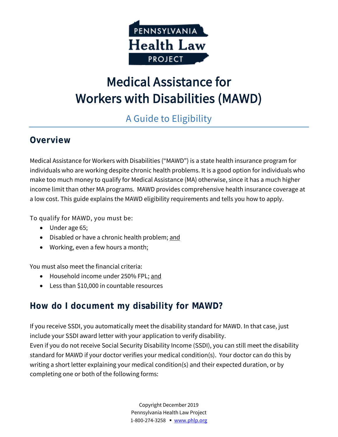

# Medical Assistance for Workers with Disabilities (MAWD)

## A Guide to Eligibility

## **Overview**

Medical Assistance for Workers with Disabilities ("MAWD") is a state health insurance program for individuals who are working despite chronic health problems. It is a good option for individuals who make too much money to qualify for Medical Assistance (MA) otherwise, since it has a much higher income limit than other MA programs. MAWD provides comprehensive health insurance coverage at a low cost. This guide explains the MAWD eligibility requirements and tells you how to apply.

To qualify for MAWD, you must be:

- Under age 65;
- Disabled or have a chronic health problem; and
- Working, even a few hours a month;

You must also meet the financial criteria:

- Household income under 250% FPL; and
- Less than \$10,000 in countable resources

## **How do I document my disability for MAWD?**

If you receive SSDI, you automatically meet the disability standard for MAWD. In that case, just include your SSDI award letter with your application to verify disability.

Even if you do not receive Social Security Disability Income (SSDI), you can still meet the disability standard for MAWD if your doctor verifies your medical condition(s). Your doctor can do this by writing a short letter explaining your medical condition(s) and their expected duration, or by completing one or both of the following forms:

> Copyright December 2019 Pennsylvania Health Law Project 1-800-274-3258 ▪ [www.phlp.org](http://www.phlp.org/)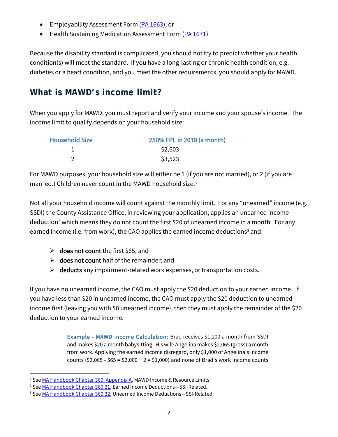- Employability Assessment Form [\(PA 1663\)](http://services.dpw.state.pa.us/oimpolicymanuals/ma/PA_1663_(SG)_(2-10).pdf); or
- Health Sustaining Medication Assessment Form [\(PA 1671\)](http://services.dpw.state.pa.us/oimpolicymanuals/ma/PA_1671-SG.pdf)

Because the disability standard is complicated, you should not try to predict whether your health condition(s) will meet the standard. If you have a long-lasting or chronic health condition, e.g. diabetes or a heart condition, and you meet the other requirements, you should apply for MAWD.

## **What is MAWD's income limit?**

When you apply for MAWD, you must report and verify your income and your spouse's income. The income limit to qualify depends on your household size:

| <b>Household Size</b> | 250% FPL in 2019 (a month) |  |  |
|-----------------------|----------------------------|--|--|
|                       | \$2,603                    |  |  |
|                       | \$3,523                    |  |  |

For MAWD purposes, your household size will either be 1 (if you are not married), or 2 (if you are married.) Children never count in the MAWD household size. [1](#page-1-0)

Not all your household income will count against the monthly limit. For any "unearned" income (e.g. SSDI) the County Assistance Office, in reviewing your application, applies an unearned income deduction<sup>[2](#page-1-1)</sup> which means they do not count the first \$20 of unearned income in a month. For any earned income (i.e. from work), the CAO applies the earned income deductions<sup>[3](#page-1-2)</sup> and:

- $\triangleright$  does not count the first \$65, and
- $\triangleright$  does not count half of the remainder; and
- $\triangleright$  deducts any impairment-related work expenses, or transportation costs.

If you have no unearned income, the CAO must apply the \$20 deduction to your earned income. If you have less than \$20 in unearned income, the CAO must apply the \$20 deduction to unearned income first (leaving you with \$0 unearned income), then they must apply the remainder of the \$20 deduction to your earned income.

> Example - MAWD Income Calculation: Brad receives \$1,100 a month from SSDI and makes \$20 a month babysitting. His wife Angelina makes \$2,065 (gross) a month from work. Applying the earned income disregard, only \$1,000 of Angelina's income counts ( $$2,065 - $65 = $2,000 \div 2 = $1,000$ ) and none of Brad's work income counts

<span id="page-1-0"></span><sup>&</sup>lt;sup>1</sup> Se[e MA Handbook Chapter 360, Appendix A,](http://services.dpw.state.pa.us/oimpolicymanuals/ma/316_MAWD/316_Appendix_A.htm) MAWD Income & Resource Limits

<span id="page-1-1"></span><sup>&</sup>lt;sup>2</sup> See <u>MA Handbook Chapter 360.31</u>, Earned Income Deductions—SSI-Related.<br><sup>3</sup> Se[e MA Handbook Chapter 360.32,](http://services.dpw.state.pa.us/oimpolicymanuals/manuals/bop/ma/Medical_Assistance_Handbook.htm#360_NMP_Deductions/360_3_Deductions%E2%80%94SSI-Related.htm) Unearned Income Deductions—SSI-Related.

<span id="page-1-2"></span>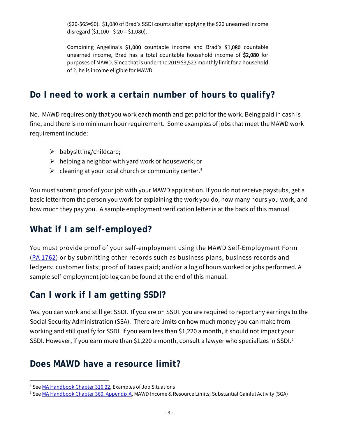(\$20-\$65=\$0). \$1,080 of Brad's SSDI counts after applying the \$20 unearned income disregard  $(51,100 - 520 = 51,080)$ .

Combining Angelina's \$1,000 countable income and Brad's \$1,080 countable unearned income, Brad has a total countable household income of \$2,080 for purposes of MAWD. Since that is under the 2019 \$3,523 monthly limit for a household of 2, he is income eligible for MAWD.

#### **Do I need to work a certain number of hours to qualify?**

No. MAWD requires only that you work each month and get paid for the work. Being paid in cash is fine, and there is no minimum hour requirement. Some examples of jobs that meet the MAWD work requirement include:

- $\triangleright$  babysitting/childcare;
- $\triangleright$  helping a neighbor with yard work or housework; or
- $\triangleright$  cleaning at your local church or community center.<sup>[4](#page-2-0)</sup>

You must submit proof of your job with your MAWD application. If you do not receive paystubs, get a basic letter from the person you work for explaining the work you do, how many hours you work, and how much they pay you. A sample employment verification letter is at the back of this manual.

#### **What if I am self-employed?**

You must provide proof of your self-employment using the MAWD Self-Employment Form [\(PA 1762\)](http://services.dpw.state.pa.us/oimpolicymanuals/ma/PA%201762.pdf) or by submitting other records such as business plans, business records and ledgers; customer lists; proof of taxes paid; and/or a log of hours worked or jobs performed. A sample self-employment job log can be found at the end of this manual.

#### **Can I work if I am getting SSDI?**

Yes, you can work and still get SSDI. If you are on SSDI, you are required to report any earnings to the Social Security Administration (SSA). There are limits on how much money you can make from working and still qualify for SSDI. If you earn less than \$1,220 a month, it should not impact your SSDI. However, if you earn more than \$1,220 a month, consult a lawyer who specializes in SSDI.<sup>[5](#page-2-1)</sup>

#### **Does MAWD have a resource limit?**

<span id="page-2-0"></span><sup>4</sup> Se[e MA Handbook Chapter 316.22,](http://services.dpw.state.pa.us/oimpolicymanuals/ma/316_MAWD/316_02_Deciding_on_Eligibility.htm#316.22_Employment) Examples of Job Situations

<span id="page-2-1"></span><sup>&</sup>lt;sup>5</sup> Se[e MA Handbook Chapter 360, Appendix A,](http://services.dpw.state.pa.us/oimpolicymanuals/ma/316_MAWD/316_Appendix_A.htm) MAWD Income & Resource Limits; Substantial Gainful Activity (SGA)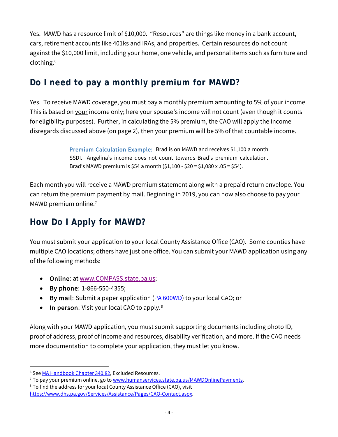Yes. MAWD has a resource limit of \$10,000. "Resources" are things like money in a bank account, cars, retirement accounts like 401ks and IRAs, and properties. Certain resources do not count against the \$10,000 limit, including your home, one vehicle, and personal items such as furniture and clothing. [6](#page-3-0)

## **Do I need to pay a monthly premium for MAWD?**

Yes. To receive MAWD coverage, you must pay a monthly premium amounting to 5% of your income. This is based on your income only; here your spouse's income will not count (even though it counts for eligibility purposes). Further, in calculating the 5% premium, the CAO will apply the income disregards discussed above (on page 2), then your premium will be 5% of that countable income.

> Premium Calculation Example: Brad is on MAWD and receives \$1,100 a month SSDI. Angelina's income does not count towards Brad's premium calculation. Brad's MAWD premium is \$54 a month (\$1,100 - \$20 = \$1,080 x .05 = \$54).

Each month you will receive a MAWD premium statement along with a prepaid return envelope. You can return the premium payment by mail. Beginning in 2019, you can now also choose to pay your MAWD premium online. [7](#page-3-1)

## **How Do I Apply for MAWD?**

You must submit your application to your local County Assistance Office (CAO). Some counties have multiple CAO locations; others have just one office. You can submit your MAWD application using any of the following methods:

- Online: at [www.COMPASS.state.pa.us;](http://www.compass.state.pa.us/)
- By phone: 1-866-550-4355;
- By mail: Submit a paper application [\(PA 600WD\)](https://www.dhs.pa.gov/Services/Assistance/Documents/Benefits%20Applications/PA-600-WD-AS-8-19.pdf) to your local CAO; or
- In person: Visit your local CAO to apply.<sup>[8](#page-3-2)</sup>

Along with your MAWD application, you must submit supporting documents including photo ID, proof of address, proof of income and resources, disability verification, and more. If the CAO needs more documentation to complete your application, they must let you know.

<span id="page-3-0"></span><sup>&</sup>lt;sup>6</sup> See [MA Handbook Chapter 340.82,](http://services.dpw.state.pa.us/oimpolicymanuals/ma/340_Resources/340_8_Resource_Exclusions.htm#340.82_Excluded_Resources_-_SSI-Related) Excluded Resources.

<span id="page-3-1"></span><sup>&</sup>lt;sup>7</sup> To pay your premium online, go to <u>www.humanservices.state.pa.us/MAWDOnlinePayments</u>.<br><sup>8</sup> To find the address for your local County Assistance Office (CAO), visit

<span id="page-3-2"></span>[https://www.dhs.pa.gov/Services/Assistance/Pages/CAO-Contact.aspx.](https://www.dhs.pa.gov/Services/Assistance/Pages/CAO-Contact.aspx)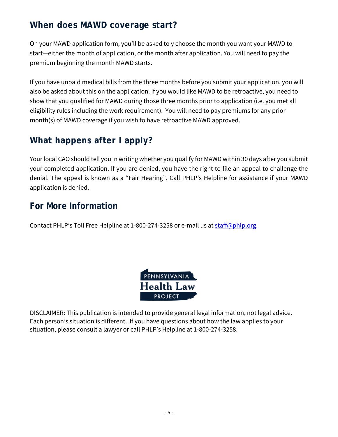### **When does MAWD coverage start?**

On your MAWD application form, you'll be asked to y choose the month you want your MAWD to start—either the month of application, or the month after application. You will need to pay the premium beginning the month MAWD starts.

If you have unpaid medical bills from the three months before you submit your application, you will also be asked about this on the application. If you would like MAWD to be retroactive, you need to show that you qualified for MAWD during those three months prior to application (i.e. you met all eligibility rules including the work requirement). You will need to pay premiums for any prior month(s) of MAWD coverage if you wish to have retroactive MAWD approved.

## **What happens after I apply?**

Your local CAO should tell you in writing whether you qualify for MAWD within 30 days after you submit your completed application. If you are denied, you have the right to file an appeal to challenge the denial. The appeal is known as a "Fair Hearing". Call PHLP's Helpline for assistance if your MAWD application is denied.

## **For More Information**

Contact PHLP's Toll Free Helpline at 1-800-274-3258 or e-mail us at [staff@phlp.org.](mailto:staff@phlp.org)



DISCLAIMER: This publication is intended to provide general legal information, not legal advice. Each person's situation is different. If you have questions about how the law applies to your situation, please consult a lawyer or call PHLP's Helpline at 1-800-274-3258.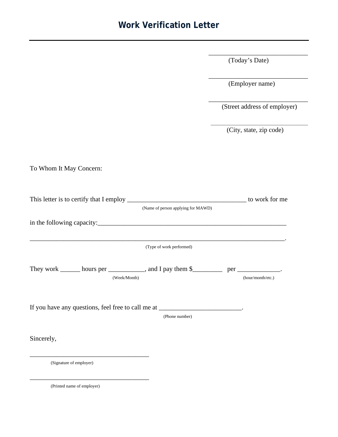#### **Work Verification Letter**

(Today's Date)

\_\_\_\_\_\_\_\_\_\_\_\_\_\_\_\_\_\_\_\_\_\_\_\_\_\_\_\_\_\_

\_\_\_\_\_\_\_\_\_\_\_\_\_\_\_\_\_\_\_\_\_\_\_\_\_\_\_\_\_\_

(Employer name)

\_\_\_\_\_\_\_\_\_\_\_\_\_\_\_\_\_\_\_\_\_\_\_\_\_\_\_\_\_\_ (Street address of employer)

\_\_\_\_\_\_\_\_\_\_\_\_\_\_\_\_\_\_\_\_\_\_\_\_\_\_\_\_\_\_\_\_\_\_\_\_\_\_\_\_\_\_\_\_ (City, state, zip code)

To Whom It May Concern:

|                                                                                                         | (Name of person applying for MAWD) |
|---------------------------------------------------------------------------------------------------------|------------------------------------|
|                                                                                                         |                                    |
|                                                                                                         | (Type of work performed)           |
| They work _______ hours per ____________, and I pay them \$__________ per ____________.<br>(Week/Month) | (hour/month/etc.)                  |
| If you have any questions, feel free to call me at _________________________.                           | (Phone number)                     |
| Sincerely,                                                                                              |                                    |
| (Signature of employer)                                                                                 |                                    |

(Printed name of employer)

\_\_\_\_\_\_\_\_\_\_\_\_\_\_\_\_\_\_\_\_\_\_\_\_\_\_\_\_\_\_\_\_\_\_\_\_